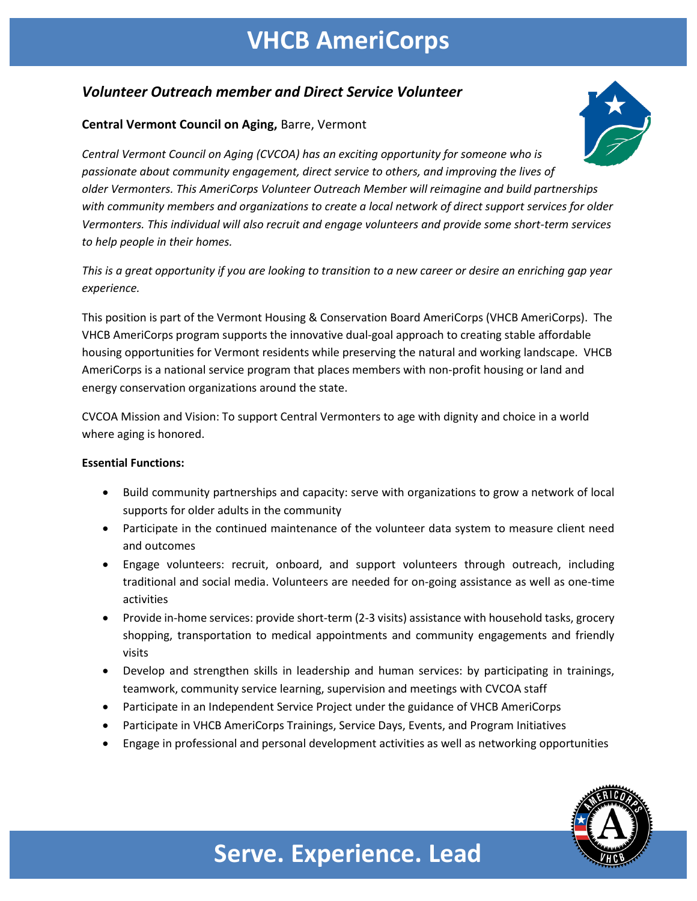### **VHCB AmeriCorps**

### *Volunteer Outreach member and Direct Service Volunteer*

#### **Central Vermont Council on Aging,** Barre, Vermont



*Central Vermont Council on Aging (CVCOA) has an exciting opportunity for someone who is passionate about community engagement, direct service to others, and improving the lives of older Vermonters. This AmeriCorps Volunteer Outreach Member will reimagine and build partnerships with community members and organizations to create a local network of direct support services for older Vermonters. This individual will also recruit and engage volunteers and provide some short-term services to help people in their homes.* 

*This is a great opportunity if you are looking to transition to a new career or desire an enriching gap year experience.*

This position is part of the Vermont Housing & Conservation Board AmeriCorps (VHCB AmeriCorps). The VHCB AmeriCorps program supports the innovative dual-goal approach to creating stable affordable housing opportunities for Vermont residents while preserving the natural and working landscape. VHCB AmeriCorps is a national service program that places members with non-profit housing or land and energy conservation organizations around the state.

CVCOA Mission and Vision: To support Central Vermonters to age with dignity and choice in a world where aging is honored.

#### **Essential Functions:**

- Build community partnerships and capacity: serve with organizations to grow a network of local supports for older adults in the community
- Participate in the continued maintenance of the volunteer data system to measure client need and outcomes
- Engage volunteers: recruit, onboard, and support volunteers through outreach, including traditional and social media. Volunteers are needed for on-going assistance as well as one-time activities
- Provide in-home services: provide short-term (2-3 visits) assistance with household tasks, grocery shopping, transportation to medical appointments and community engagements and friendly visits
- Develop and strengthen skills in leadership and human services: by participating in trainings, teamwork, community service learning, supervision and meetings with CVCOA staff
- Participate in an Independent Service Project under the guidance of VHCB AmeriCorps
- Participate in VHCB AmeriCorps Trainings, Service Days, Events, and Program Initiatives
- Engage in professional and personal development activities as well as networking opportunities



# **Serve. Experience. Lead**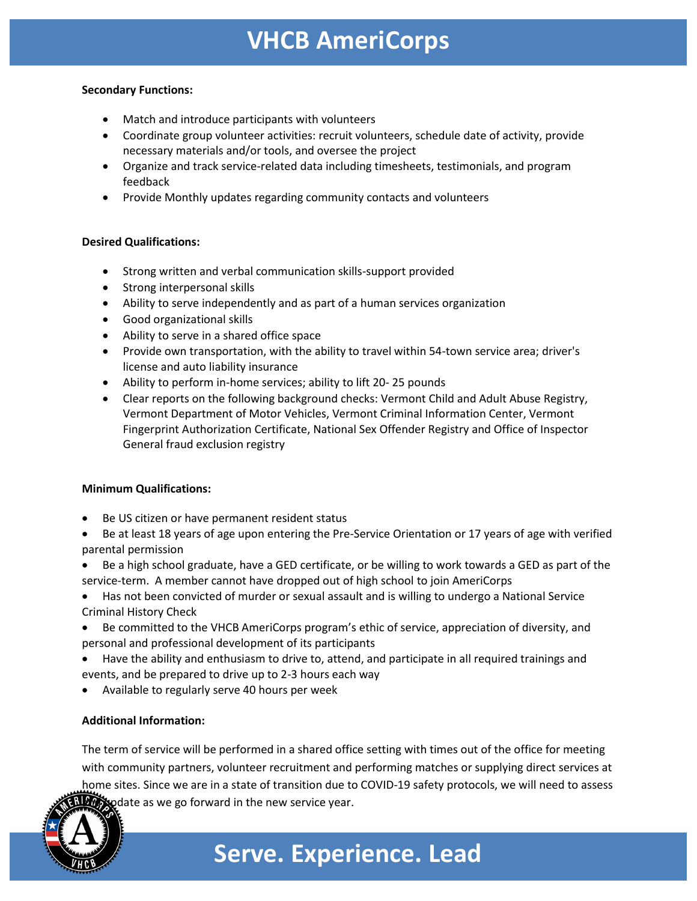### **VHCB AmeriCorps**

#### **Secondary Functions:**

- Match and introduce participants with volunteers
- Coordinate group volunteer activities: recruit volunteers, schedule date of activity, provide necessary materials and/or tools, and oversee the project
- Organize and track service-related data including timesheets, testimonials, and program feedback
- Provide Monthly updates regarding community contacts and volunteers

#### **Desired Qualifications:**

- Strong written and verbal communication skills-support provided
- Strong interpersonal skills
- Ability to serve independently and as part of a human services organization
- Good organizational skills
- Ability to serve in a shared office space
- Provide own transportation, with the ability to travel within 54-town service area; driver's license and auto liability insurance
- Ability to perform in-home services; ability to lift 20- 25 pounds
- Clear reports on the following background checks: Vermont Child and Adult Abuse Registry, Vermont Department of Motor Vehicles, Vermont Criminal Information Center, Vermont Fingerprint Authorization Certificate, National Sex Offender Registry and Office of Inspector General fraud exclusion registry

#### **Minimum Qualifications:**

- Be US citizen or have permanent resident status
- Be at least 18 years of age upon entering the Pre-Service Orientation or 17 years of age with verified parental permission
- Be a high school graduate, have a GED certificate, or be willing to work towards a GED as part of the service-term. A member cannot have dropped out of high school to join AmeriCorps
- Has not been convicted of murder or sexual assault and is willing to undergo a National Service Criminal History Check
- Be committed to the VHCB AmeriCorps program's ethic of service, appreciation of diversity, and personal and professional development of its participants
- Have the ability and enthusiasm to drive to, attend, and participate in all required trainings and events, and be prepared to drive up to 2-3 hours each way
- Available to regularly serve 40 hours per week

#### **Additional Information:**

The term of service will be performed in a shared office setting with times out of the office for meeting with community partners, volunteer recruitment and performing matches or supplying direct services at home sites. Since we are in a state of transition due to COVID-19 safety protocols, we will need to assess  $\mathbf{X}$  pdate as we go forward in the new service year.



## **Serve. Experience. Lead**